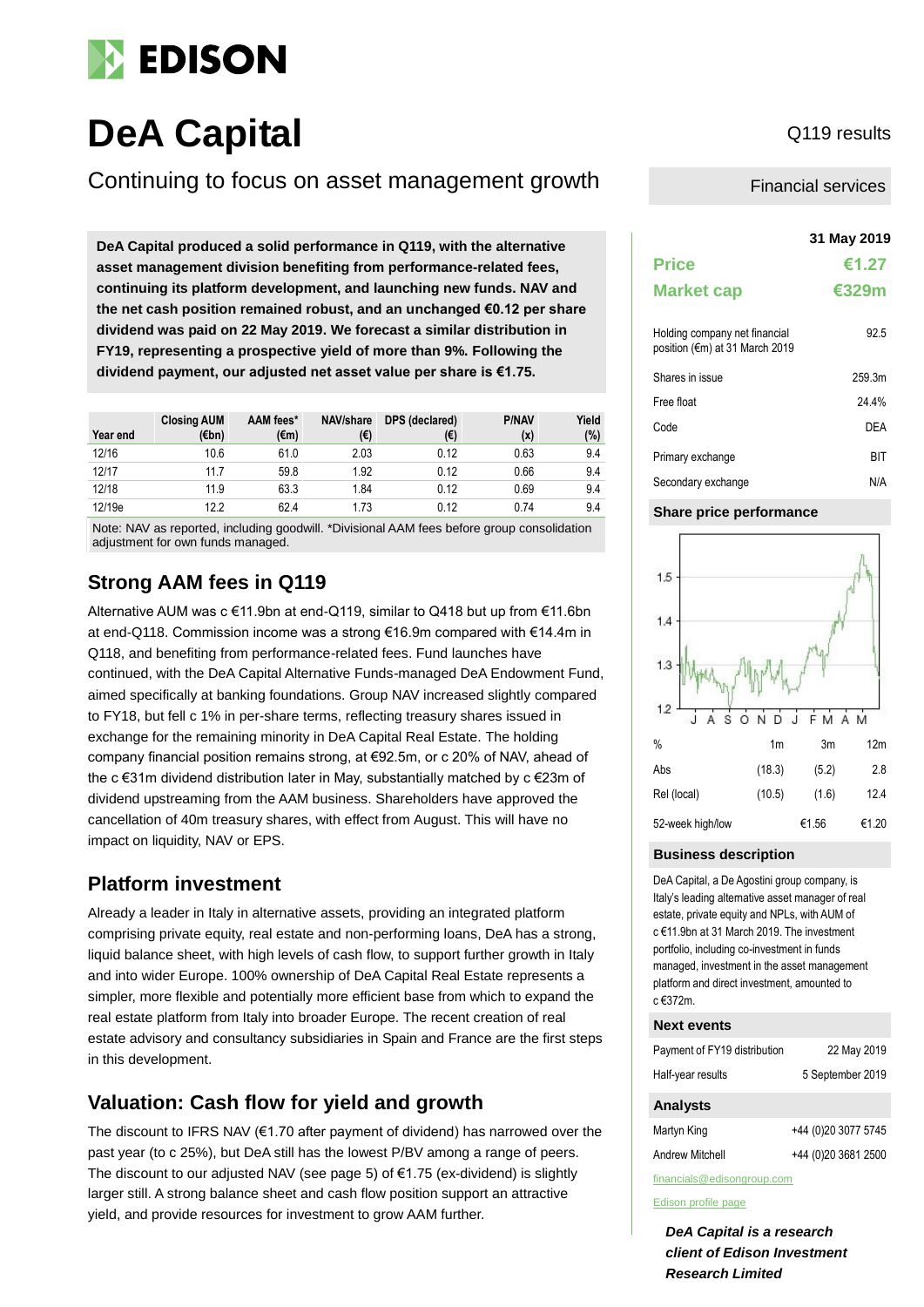

# **DeA Capital** Q119 results

### Continuing to focus on asset management growth

**31 May 2019 DeA Capital produced a solid performance in Q119, with the alternative asset management division benefiting from performance-related fees, continuing its platform development, and launching new funds. NAV and the net cash position remained robust, and an unchanged €0.12 per share dividend was paid on 22 May 2019. We forecast a similar distribution in FY19, representing a prospective yield of more than 9%. Following the dividend payment, our adjusted net asset value per share is €1.75.** 

| Year end | <b>Closing AUM</b><br>(€bn) | AAM fees*<br>$(\epsilon m)$ | NAV/share<br>(€) | DPS (declared)<br>(€) | <b>P/NAV</b><br>(x) | Yield<br>(%) |
|----------|-----------------------------|-----------------------------|------------------|-----------------------|---------------------|--------------|
| 12/16    | 10.6                        | 61.0                        | 2.03             | 0.12                  | 0.63                | 9.4          |
| 12/17    | 11.7                        | 59.8                        | 1.92             | 0.12                  | 0.66                | 9.4          |
| 12/18    | 11.9                        | 63.3                        | 1.84             | 0.12                  | 0.69                | 9.4          |
| 12/19e   | 12.2                        | 62.4                        | 1.73             | 0.12                  | 0.74                | 9.4          |

Note: NAV as reported, including goodwill. \*Divisional AAM fees before group consolidation adjustment for own funds managed.

### **Strong AAM fees in Q119**

Alternative AUM was c €11.9bn at end-Q119, similar to Q418 but up from €11.6bn at end-Q118. Commission income was a strong €16.9m compared with €14.4m in Q118, and benefiting from performance-related fees. Fund launches have continued, with the DeA Capital Alternative Funds-managed DeA Endowment Fund, aimed specifically at banking foundations. Group NAV increased slightly compared to FY18, but fell c 1% in per-share terms, reflecting treasury shares issued in exchange for the remaining minority in DeA Capital Real Estate. The holding company financial position remains strong, at €92.5m, or c 20% of NAV, ahead of the c €31m dividend distribution later in May, substantially matched by c €23m of dividend upstreaming from the AAM business. Shareholders have approved the cancellation of 40m treasury shares, with effect from August. This will have no impact on liquidity, NAV or EPS.

### **Platform investment**

Already a leader in Italy in alternative assets, providing an integrated platform comprising private equity, real estate and non-performing loans, DeA has a strong, liquid balance sheet, with high levels of cash flow, to support further growth in Italy and into wider Europe. 100% ownership of DeA Capital Real Estate represents a simpler, more flexible and potentially more efficient base from which to expand the real estate platform from Italy into broader Europe. The recent creation of real estate advisory and consultancy subsidiaries in Spain and France are the first steps in this development.

### **Valuation: Cash flow for yield and growth**

The discount to IFRS NAV (€1.70 after payment of dividend) has narrowed over the past year (to c 25%), but DeA still has the lowest P/BV among a range of peers. The discount to our adjusted NAV (see page 5) of  $\epsilon$ 1.75 (ex-dividend) is slightly larger still. A strong balance sheet and cash flow position support an attractive yield, and provide resources for investment to grow AAM further.

Financial services

|                                                                 | 31 May 2019 |
|-----------------------------------------------------------------|-------------|
| <b>Price</b>                                                    | €1.27       |
| <b>Market cap</b>                                               | €329m       |
| Holding company net financial<br>position (€m) at 31 March 2019 | 92.5        |
| Shares in issue                                                 | 259.3m      |
| Free float                                                      | 24 4%       |
| Code                                                            | DFA         |
| Primary exchange                                                | BIT         |
| Secondary exchange                                              | N/A         |

#### **Share price performance**



### **Business description**

DeA Capital, a De Agostini group company, is Italy's leading alternative asset manager of real estate, private equity and NPLs, with AUM of c €11.9bn at 31 March 2019. The investment portfolio, including co-investment in funds managed, investment in the asset management platform and direct investment, amounted to  $c$   $\epsilon$ 372m.

#### **Next events**

| Payment of FY19 distribution | 22 May 2019      |
|------------------------------|------------------|
| Half-year results            | 5 September 2019 |

### **Analysts**

| Martyn King     | +44 (0)20 3077 5745 |
|-----------------|---------------------|
| Andrew Mitchell | +44 (0)20 3681 2500 |

financials@edisongroup.com

#### [Edison profile page](https://www.edisongroup.com/company/dea-capital)

*DeA Capital is a research client of Edison Investment Research Limited*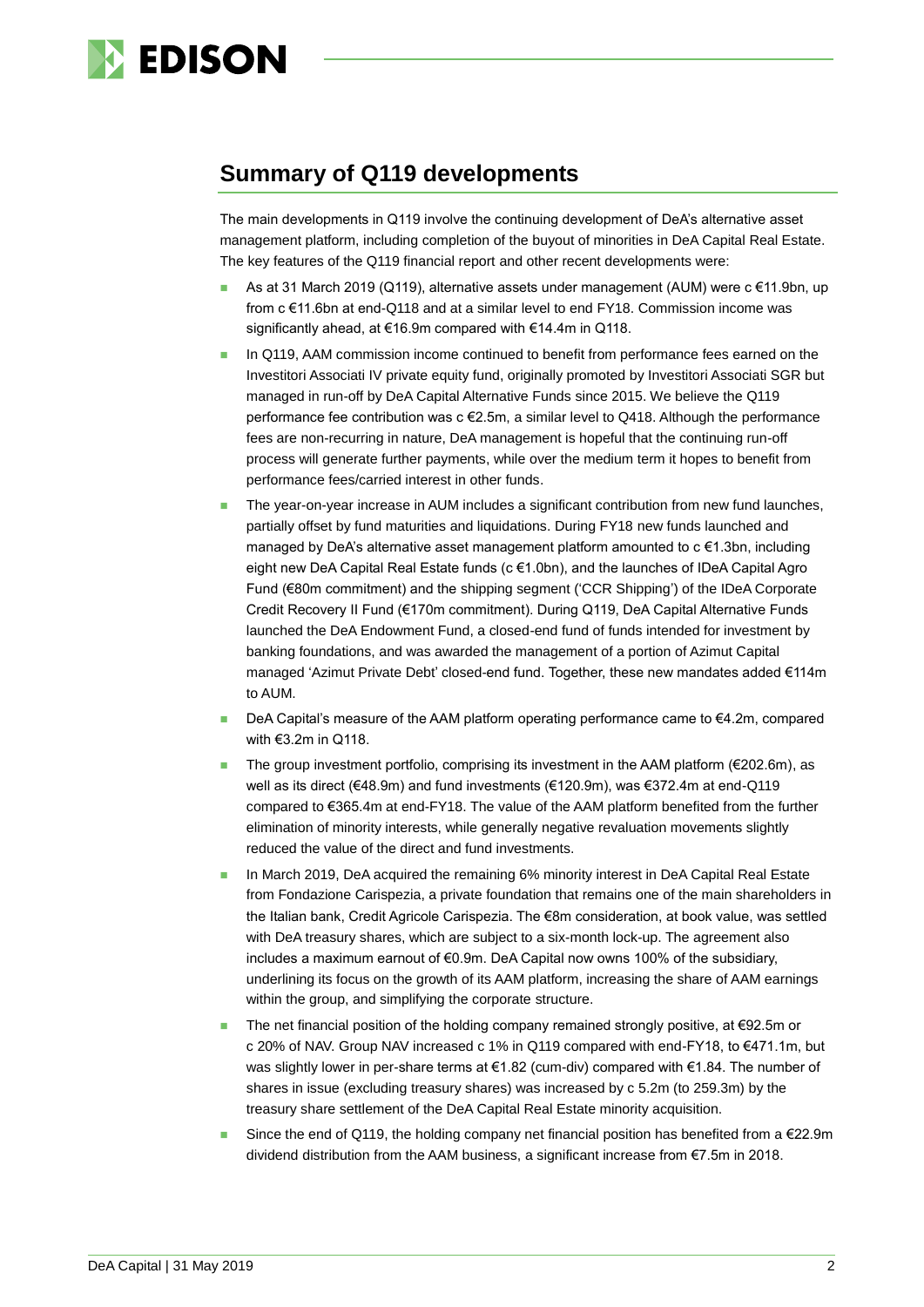

## **Summary of Q119 developments**

The main developments in Q119 involve the continuing development of DeA's alternative asset management platform, including completion of the buyout of minorities in DeA Capital Real Estate. The key features of the Q119 financial report and other recent developments were:

- As at 31 March 2019 (Q119), alternative assets under management (AUM) were c €11.9bn, up from c €11.6bn at end-Q118 and at a similar level to end FY18. Commission income was significantly ahead, at €16.9m compared with €14.4m in Q118.
- In Q119, AAM commission income continued to benefit from performance fees earned on the Investitori Associati IV private equity fund, originally promoted by Investitori Associati SGR but managed in run-off by DeA Capital Alternative Funds since 2015. We believe the Q119 performance fee contribution was c €2.5m, a similar level to Q418. Although the performance fees are non-recurring in nature, DeA management is hopeful that the continuing run-off process will generate further payments, while over the medium term it hopes to benefit from performance fees/carried interest in other funds.
- The year-on-year increase in AUM includes a significant contribution from new fund launches, partially offset by fund maturities and liquidations. During FY18 new funds launched and managed by DeA's alternative asset management platform amounted to  $c \in 1.3$ bn, including eight new DeA Capital Real Estate funds (c €1.0bn), and the launches of IDeA Capital Agro Fund (€80m commitment) and the shipping segment ('CCR Shipping') of the IDeA Corporate Credit Recovery II Fund (€170m commitment). During Q119, DeA Capital Alternative Funds launched the DeA Endowment Fund, a closed-end fund of funds intended for investment by banking foundations, and was awarded the management of a portion of Azimut Capital managed 'Azimut Private Debt' closed-end fund. Together, these new mandates added €114m to AUM.
- DeA Capital's measure of the AAM platform operating performance came to €4.2m, compared with €3.2m in Q118.
- The group investment portfolio, comprising its investment in the AAM platform ( $€202.6$ m), as well as its direct (€48.9m) and fund investments (€120.9m), was €372.4m at end-Q119 compared to €365.4m at end-FY18. The value of the AAM platform benefited from the further elimination of minority interests, while generally negative revaluation movements slightly reduced the value of the direct and fund investments.
- In March 2019, DeA acquired the remaining 6% minority interest in DeA Capital Real Estate from Fondazione Carispezia, a private foundation that remains one of the main shareholders in the Italian bank, Credit Agricole Carispezia. The €8m consideration, at book value, was settled with DeA treasury shares, which are subject to a six-month lock-up. The agreement also includes a maximum earnout of €0.9m. DeA Capital now owns 100% of the subsidiary, underlining its focus on the growth of its AAM platform, increasing the share of AAM earnings within the group, and simplifying the corporate structure.
- The net financial position of the holding company remained strongly positive, at €92.5m or c 20% of NAV. Group NAV increased c 1% in Q119 compared with end-FY18, to €471.1m, but was slightly lower in per-share terms at €1.82 (cum-div) compared with €1.84. The number of shares in issue (excluding treasury shares) was increased by c 5.2m (to 259.3m) by the treasury share settlement of the DeA Capital Real Estate minority acquisition.
- Since the end of Q119, the holding company net financial position has benefited from a  $\epsilon$ 22.9m dividend distribution from the AAM business, a significant increase from €7.5m in 2018.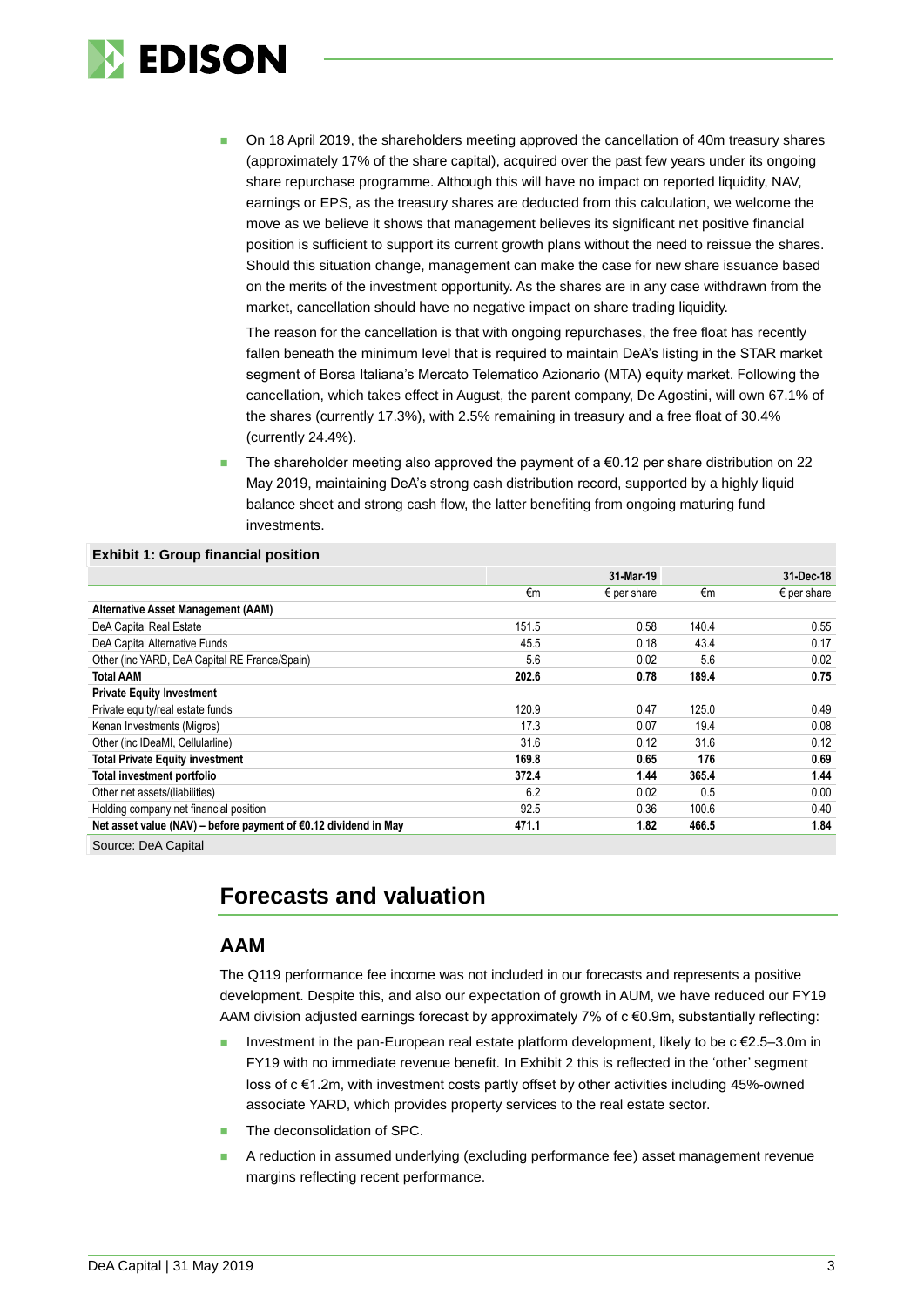

 On 18 April 2019, the shareholders meeting approved the cancellation of 40m treasury shares (approximately 17% of the share capital), acquired over the past few years under its ongoing share repurchase programme. Although this will have no impact on reported liquidity, NAV, earnings or EPS, as the treasury shares are deducted from this calculation, we welcome the move as we believe it shows that management believes its significant net positive financial position is sufficient to support its current growth plans without the need to reissue the shares. Should this situation change, management can make the case for new share issuance based on the merits of the investment opportunity. As the shares are in any case withdrawn from the market, cancellation should have no negative impact on share trading liquidity.

The reason for the cancellation is that with ongoing repurchases, the free float has recently fallen beneath the minimum level that is required to maintain DeA's listing in the STAR market segment of Borsa Italiana's Mercato Telematico Azionario (MTA) equity market. Following the cancellation, which takes effect in August, the parent company, De Agostini, will own 67.1% of the shares (currently 17.3%), with 2.5% remaining in treasury and a free float of 30.4% (currently 24.4%).

The shareholder meeting also approved the payment of a  $\epsilon$ 0.12 per share distribution on 22 May 2019, maintaining DeA's strong cash distribution record, supported by a highly liquid balance sheet and strong cash flow, the latter benefiting from ongoing maturing fund investments.

#### **Exhibit 1: Group financial position**

|                                                                           |       | 31-Mar-19            |       | 31-Dec-18            |
|---------------------------------------------------------------------------|-------|----------------------|-------|----------------------|
|                                                                           | €m    | $\epsilon$ per share | €m    | $\epsilon$ per share |
| Alternative Asset Management (AAM)                                        |       |                      |       |                      |
| DeA Capital Real Estate                                                   | 151.5 | 0.58                 | 140.4 | 0.55                 |
| DeA Capital Alternative Funds                                             | 45.5  | 0.18                 | 43.4  | 0.17                 |
| Other (inc YARD, DeA Capital RE France/Spain)                             | 5.6   | 0.02                 | 5.6   | 0.02                 |
| <b>Total AAM</b>                                                          | 202.6 | 0.78                 | 189.4 | 0.75                 |
| <b>Private Equity Investment</b>                                          |       |                      |       |                      |
| Private equity/real estate funds                                          | 120.9 | 0.47                 | 125.0 | 0.49                 |
| Kenan Investments (Migros)                                                | 17.3  | 0.07                 | 19.4  | 0.08                 |
| Other (inc IDeaMI, Cellularline)                                          | 31.6  | 0.12                 | 31.6  | 0.12                 |
| <b>Total Private Equity investment</b>                                    | 169.8 | 0.65                 | 176   | 0.69                 |
| Total investment portfolio                                                | 372.4 | 1.44                 | 365.4 | 1.44                 |
| Other net assets/(liabilities)                                            | 6.2   | 0.02                 | 0.5   | 0.00                 |
| Holding company net financial position                                    | 92.5  | 0.36                 | 100.6 | 0.40                 |
| Net asset value (NAV) – before payment of $\epsilon$ 0.12 dividend in May | 471.1 | 1.82                 | 466.5 | 1.84                 |
|                                                                           |       |                      |       |                      |

Source: DeA Capital

## **Forecasts and valuation**

### **AAM**

The Q119 performance fee income was not included in our forecasts and represents a positive development. Despite this, and also our expectation of growth in AUM, we have reduced our FY19 AAM division adjusted earnings forecast by approximately 7% of c €0.9m, substantially reflecting:

- Investment in the pan-European real estate platform development, likely to be c €2.5–3.0m in FY19 with no immediate revenue benefit. In Exhibit 2 this is reflected in the 'other' segment loss of c €1.2m, with investment costs partly offset by other activities including 45%-owned associate YARD, which provides property services to the real estate sector.
- The deconsolidation of SPC.
- A reduction in assumed underlying (excluding performance fee) asset management revenue margins reflecting recent performance.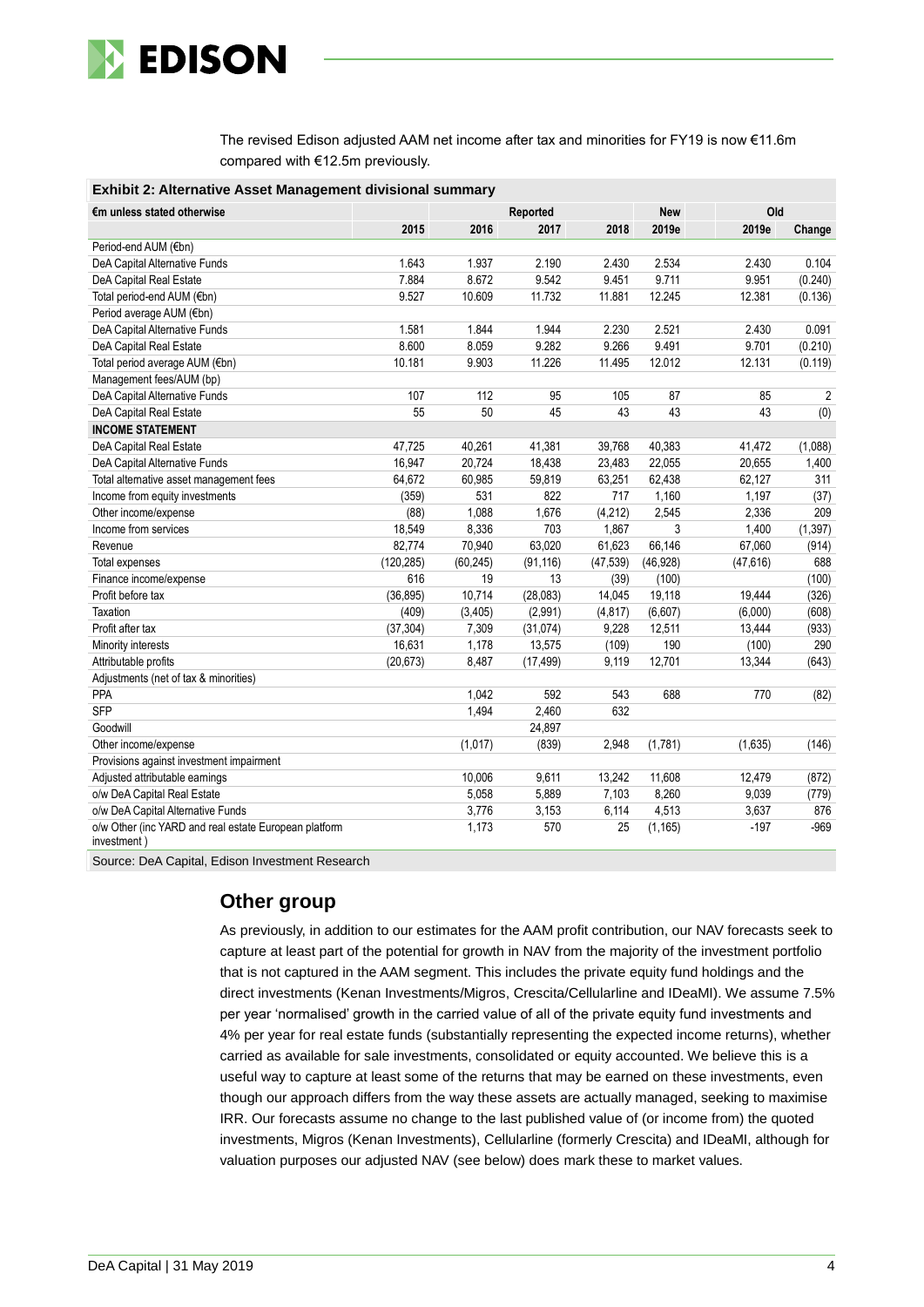

The revised Edison adjusted AAM net income after tax and minorities for FY19 is now €11.6m compared with €12.5m previously.

| <b>Exhibit 2: Alternative Asset Management divisional summary</b>    |            |           |           |           |            |           |          |
|----------------------------------------------------------------------|------------|-----------|-----------|-----------|------------|-----------|----------|
| €m unless stated otherwise                                           |            |           | Reported  |           | <b>New</b> | Old       |          |
|                                                                      | 2015       | 2016      | 2017      | 2018      | 2019e      | 2019e     | Change   |
| Period-end AUM (€bn)                                                 |            |           |           |           |            |           |          |
| DeA Capital Alternative Funds                                        | 1.643      | 1.937     | 2.190     | 2.430     | 2.534      | 2.430     | 0.104    |
| DeA Capital Real Estate                                              | 7.884      | 8.672     | 9.542     | 9.451     | 9.711      | 9.951     | (0.240)  |
| Total period-end AUM (€bn)                                           | 9.527      | 10.609    | 11.732    | 11.881    | 12.245     | 12.381    | (0.136)  |
| Period average AUM (€bn)                                             |            |           |           |           |            |           |          |
| DeA Capital Alternative Funds                                        | 1.581      | 1.844     | 1.944     | 2.230     | 2.521      | 2.430     | 0.091    |
| DeA Capital Real Estate                                              | 8.600      | 8.059     | 9.282     | 9.266     | 9.491      | 9.701     | (0.210)  |
| Total period average AUM (€bn)                                       | 10.181     | 9.903     | 11.226    | 11.495    | 12.012     | 12.131    | (0.119)  |
| Management fees/AUM (bp)                                             |            |           |           |           |            |           |          |
| DeA Capital Alternative Funds                                        | 107        | 112       | 95        | 105       | 87         | 85        | 2        |
| DeA Capital Real Estate                                              | 55         | 50        | 45        | 43        | 43         | 43        | (0)      |
| <b>INCOME STATEMENT</b>                                              |            |           |           |           |            |           |          |
| DeA Capital Real Estate                                              | 47,725     | 40,261    | 41,381    | 39,768    | 40,383     | 41,472    | (1,088)  |
| DeA Capital Alternative Funds                                        | 16,947     | 20,724    | 18,438    | 23,483    | 22,055     | 20,655    | 1,400    |
| Total alternative asset management fees                              | 64,672     | 60,985    | 59,819    | 63,251    | 62,438     | 62,127    | 311      |
| Income from equity investments                                       | (359)      | 531       | 822       | 717       | 1,160      | 1,197     | (37)     |
| Other income/expense                                                 | (88)       | 1,088     | 1,676     | (4,212)   | 2,545      | 2,336     | 209      |
| Income from services                                                 | 18,549     | 8,336     | 703       | 1,867     | 3          | 1,400     | (1, 397) |
| Revenue                                                              | 82,774     | 70,940    | 63,020    | 61,623    | 66,146     | 67,060    | (914)    |
| <b>Total expenses</b>                                                | (120, 285) | (60, 245) | (91, 116) | (47, 539) | (46, 928)  | (47, 616) | 688      |
| Finance income/expense                                               | 616        | 19        | 13        | (39)      | (100)      |           | (100)    |
| Profit before tax                                                    | (36, 895)  | 10,714    | (28,083)  | 14,045    | 19,118     | 19,444    | (326)    |
| Taxation                                                             | (409)      | (3,405)   | (2,991)   | (4, 817)  | (6,607)    | (6,000)   | (608)    |
| Profit after tax                                                     | (37, 304)  | 7,309     | (31, 074) | 9,228     | 12,511     | 13,444    | (933)    |
| Minority interests                                                   | 16,631     | 1,178     | 13,575    | (109)     | 190        | (100)     | 290      |
| Attributable profits                                                 | (20, 673)  | 8,487     | (17, 499) | 9,119     | 12,701     | 13,344    | (643)    |
| Adjustments (net of tax & minorities)                                |            |           |           |           |            |           |          |
| PPA                                                                  |            | 1,042     | 592       | 543       | 688        | 770       | (82)     |
| <b>SFP</b>                                                           |            | 1,494     | 2,460     | 632       |            |           |          |
| Goodwill                                                             |            |           | 24,897    |           |            |           |          |
| Other income/expense                                                 |            | (1,017)   | (839)     | 2,948     | (1,781)    | (1,635)   | (146)    |
| Provisions against investment impairment                             |            |           |           |           |            |           |          |
| Adjusted attributable earnings                                       |            | 10,006    | 9,611     | 13,242    | 11,608     | 12,479    | (872)    |
| o/w DeA Capital Real Estate                                          |            | 5,058     | 5,889     | 7,103     | 8,260      | 9,039     | (779)    |
| o/w DeA Capital Alternative Funds                                    |            | 3,776     | 3,153     | 6,114     | 4,513      | 3,637     | 876      |
| o/w Other (inc YARD and real estate European platform<br>investment) |            | 1,173     | 570       | 25        | (1, 165)   | $-197$    | $-969$   |

Source: DeA Capital, Edison Investment Research

### **Other group**

As previously, in addition to our estimates for the AAM profit contribution, our NAV forecasts seek to capture at least part of the potential for growth in NAV from the majority of the investment portfolio that is not captured in the AAM segment. This includes the private equity fund holdings and the direct investments (Kenan Investments/Migros, Crescita/Cellularline and IDeaMI). We assume 7.5% per year 'normalised' growth in the carried value of all of the private equity fund investments and 4% per year for real estate funds (substantially representing the expected income returns), whether carried as available for sale investments, consolidated or equity accounted. We believe this is a useful way to capture at least some of the returns that may be earned on these investments, even though our approach differs from the way these assets are actually managed, seeking to maximise IRR. Our forecasts assume no change to the last published value of (or income from) the quoted investments, Migros (Kenan Investments), Cellularline (formerly Crescita) and IDeaMI, although for valuation purposes our adjusted NAV (see below) does mark these to market values.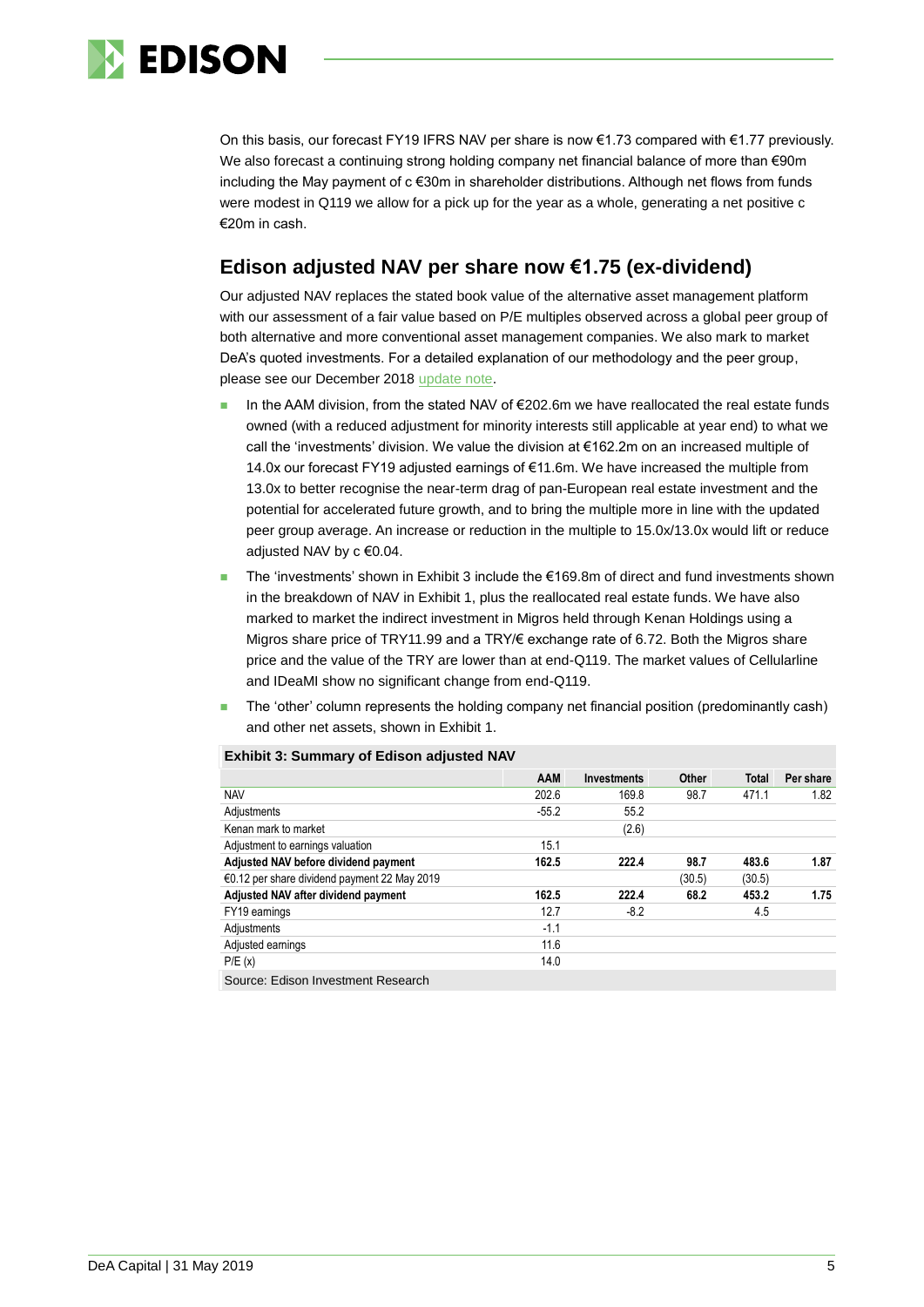

On this basis, our forecast FY19 IFRS NAV per share is now €1.73 compared with €1.77 previously. We also forecast a continuing strong holding company net financial balance of more than €90m including the May payment of c €30m in shareholder distributions. Although net flows from funds were modest in Q119 we allow for a pick up for the year as a whole, generating a net positive c €20m in cash.

### **Edison adjusted NAV per share now €1.75 (ex-dividend)**

Our adjusted NAV replaces the stated book value of the alternative asset management platform with our assessment of a fair value based on P/E multiples observed across a global peer group of both alternative and more conventional asset management companies. We also mark to market DeA's quoted investments. For a detailed explanation of our methodology and the peer group, please see our December 2018 [update note.](https://www.edisongroup.com/publication/strong-cash-used-to-grow-asset-management/22895/)

- In the AAM division, from the stated NAV of €202.6m we have reallocated the real estate funds owned (with a reduced adjustment for minority interests still applicable at year end) to what we call the 'investments' division. We value the division at €162.2m on an increased multiple of 14.0x our forecast FY19 adjusted earnings of €11.6m. We have increased the multiple from 13.0x to better recognise the near-term drag of pan-European real estate investment and the potential for accelerated future growth, and to bring the multiple more in line with the updated peer group average. An increase or reduction in the multiple to 15.0x/13.0x would lift or reduce adjusted NAV by c €0.04.
- The 'investments' shown in Exhibit 3 include the €169.8m of direct and fund investments shown in the breakdown of NAV in Exhibit 1, plus the reallocated real estate funds. We have also marked to market the indirect investment in Migros held through Kenan Holdings using a Migros share price of TRY11.99 and a TRY/€ exchange rate of 6.72. Both the Migros share price and the value of the TRY are lower than at end-Q119. The market values of Cellularline and IDeaMI show no significant change from end-Q119.
- The 'other' column represents the holding company net financial position (predominantly cash) and other net assets, shown in Exhibit 1.

|                                              | <b>AAM</b> | <b>Investments</b> | Other  | Total  | Per share |
|----------------------------------------------|------------|--------------------|--------|--------|-----------|
| <b>NAV</b>                                   | 202.6      | 169.8              | 98.7   | 471.1  | 1.82      |
| Adjustments                                  | $-55.2$    | 55.2               |        |        |           |
| Kenan mark to market                         |            | (2.6)              |        |        |           |
| Adjustment to earnings valuation             | 15.1       |                    |        |        |           |
| Adjusted NAV before dividend payment         | 162.5      | 222.4              | 98.7   | 483.6  | 1.87      |
| €0.12 per share dividend payment 22 May 2019 |            |                    | (30.5) | (30.5) |           |
| Adjusted NAV after dividend payment          | 162.5      | 222.4              | 68.2   | 453.2  | 1.75      |
| FY19 earnings                                | 12.7       | $-8.2$             |        | 4.5    |           |
| Adjustments                                  | $-1.1$     |                    |        |        |           |
| Adjusted earnings                            | 11.6       |                    |        |        |           |
| P/E(x)                                       | 14.0       |                    |        |        |           |
| Source: Edison Investment Research           |            |                    |        |        |           |

### **Exhibit 3: Summary of Edison adjusted NAV**

Source: Edison Investment Research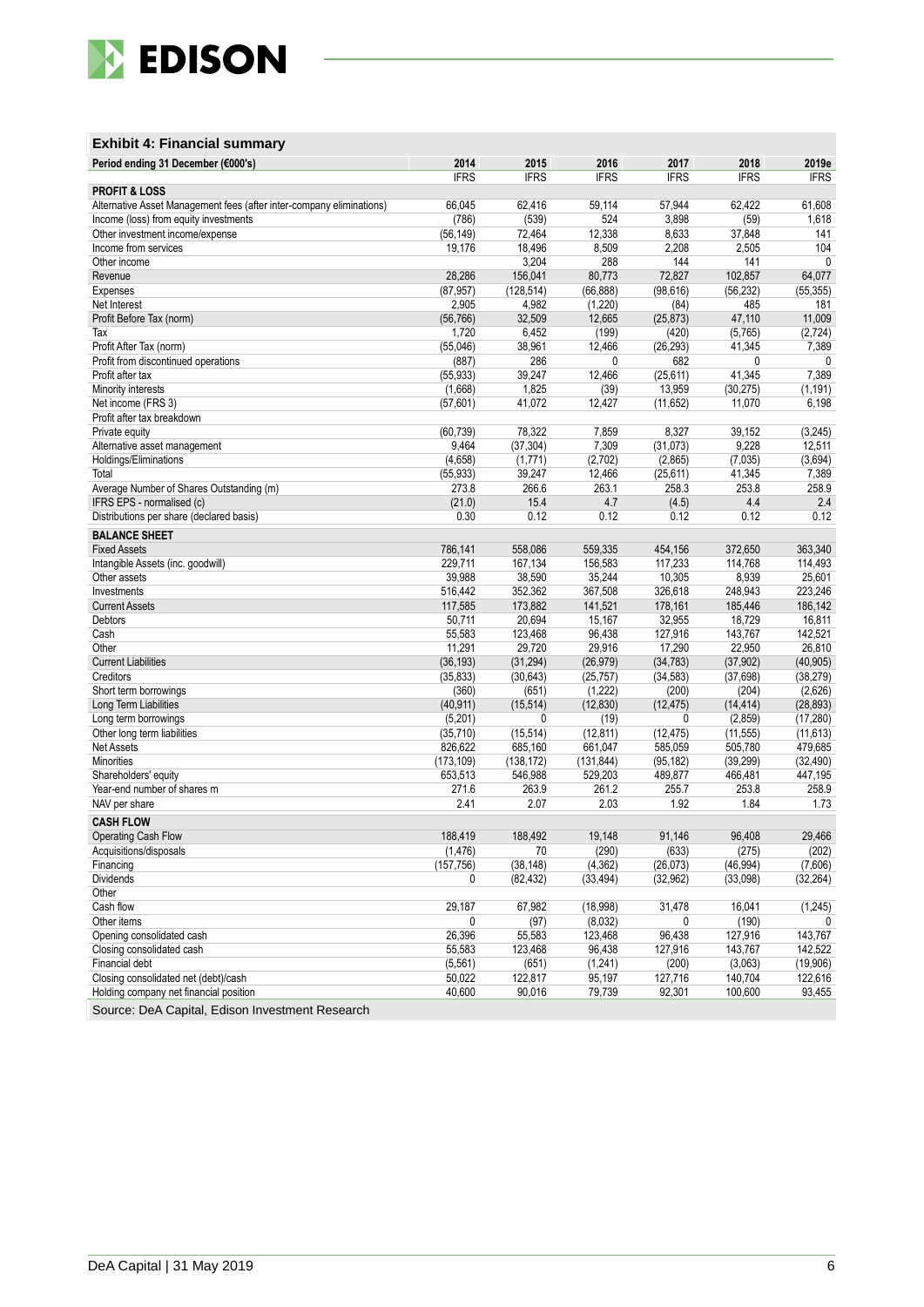

### **Exhibit 4: Financial summary**

| Period ending 31 December (€000's)                                   | 2014        | 2015        | 2016        | 2017        | 2018        | 2019e        |
|----------------------------------------------------------------------|-------------|-------------|-------------|-------------|-------------|--------------|
|                                                                      | <b>IFRS</b> | <b>IFRS</b> | <b>IFRS</b> | <b>IFRS</b> | <b>IFRS</b> | <b>IFRS</b>  |
| <b>PROFIT &amp; LOSS</b>                                             |             |             |             |             |             |              |
| Alternative Asset Management fees (after inter-company eliminations) | 66,045      | 62,416      | 59,114      | 57,944      | 62,422      | 61,608       |
| Income (loss) from equity investments                                | (786)       | (539)       | 524         | 3,898       | (59)        | 1,618        |
| Other investment income/expense                                      | (56, 149)   | 72,464      | 12,338      | 8,633       | 37,848      | 141          |
| Income from services                                                 | 19,176      | 18,496      | 8,509       | 2,208       | 2,505       | 104          |
| Other income                                                         |             | 3,204       | 288         | 144         | 141         | $\mathbf{0}$ |
| Revenue                                                              | 28,286      | 156,041     | 80,773      | 72,827      | 102,857     | 64,077       |
| Expenses                                                             | (87, 957)   | (128, 514)  | (66, 888)   | (98, 616)   | (56, 232)   | (55, 355)    |
| Net Interest                                                         | 2,905       | 4,982       | (1,220)     | (84)        | 485         | 181          |
| Profit Before Tax (norm)                                             | (56, 766)   | 32,509      | 12,665      | (25, 873)   | 47,110      | 11,009       |
| Tax                                                                  | 1,720       | 6,452       | (199)       | (420)       | (5,765)     | (2,724)      |
| Profit After Tax (norm)                                              | (55,046)    | 38,961      | 12,466      | (26, 293)   | 41,345      | 7,389        |
| Profit from discontinued operations                                  | (887)       | 286         | 0           | 682         | 0           | $\mathbf{0}$ |
| Profit after tax                                                     | (55, 933)   | 39,247      | 12,466      | (25, 611)   | 41,345      | 7,389        |
| Minority interests                                                   | (1,668)     | 1,825       | (39)        | 13,959      | (30, 275)   | (1, 191)     |
| Net income (FRS 3)                                                   | (57,601)    | 41,072      | 12,427      | (11, 652)   | 11,070      | 6,198        |
| Profit after tax breakdown                                           |             |             |             |             |             |              |
| Private equity                                                       | (60, 739)   | 78,322      | 7,859       | 8,327       | 39,152      | (3, 245)     |
| Alternative asset management                                         | 9,464       | (37, 304)   | 7,309       | (31,073)    | 9,228       | 12,511       |
| Holdings/Eliminations                                                | (4,658)     | (1,771)     | (2,702)     | (2,865)     | (7,035)     | (3,694)      |
| Total                                                                | (55, 933)   | 39,247      | 12,466      | (25, 611)   | 41,345      | 7,389        |
| Average Number of Shares Outstanding (m)                             | 273.8       | 266.6       | 263.1       | 258.3       | 253.8       | 258.9        |
| IFRS EPS - normalised (c)                                            | (21.0)      | 15.4        | 4.7         | (4.5)       | 4.4         | 2.4          |
| Distributions per share (declared basis)                             | 0.30        | 0.12        | 0.12        | 0.12        | 0.12        | 0.12         |
| <b>BALANCE SHEET</b>                                                 |             |             |             |             |             |              |
| <b>Fixed Assets</b>                                                  | 786,141     | 558,086     | 559,335     | 454,156     | 372.650     | 363,340      |
| Intangible Assets (inc. goodwill)                                    | 229,711     | 167,134     | 156,583     | 117,233     | 114,768     | 114,493      |
| Other assets                                                         | 39,988      | 38,590      | 35,244      | 10,305      | 8,939       | 25,601       |
| Investments                                                          | 516,442     | 352,362     | 367,508     | 326,618     | 248,943     | 223,246      |
| <b>Current Assets</b>                                                | 117,585     | 173,882     | 141,521     | 178,161     | 185,446     | 186,142      |
| Debtors                                                              | 50,711      | 20,694      | 15,167      | 32,955      | 18,729      | 16,811       |
| Cash                                                                 | 55,583      | 123,468     | 96,438      | 127,916     | 143,767     | 142,521      |
| Other                                                                | 11,291      | 29,720      | 29,916      | 17,290      | 22,950      | 26,810       |
| <b>Current Liabilities</b>                                           | (36, 193)   | (31, 294)   | (26, 979)   | (34, 783)   | (37, 902)   | (40, 905)    |
| Creditors                                                            | (35, 833)   | (30, 643)   | (25, 757)   | (34, 583)   | (37, 698)   | (38, 279)    |
| Short term borrowings                                                | (360)       | (651)       | (1, 222)    | (200)       | (204)       | (2,626)      |
| Long Term Liabilities                                                | (40, 911)   | (15, 514)   | (12, 830)   | (12, 475)   | (14, 414)   | (28, 893)    |
| Long term borrowings                                                 | (5,201)     | 0           | (19)        | 0           | (2, 859)    | (17, 280)    |
| Other long term liabilities                                          | (35, 710)   | (15, 514)   | (12, 811)   | (12, 475)   | (11, 555)   | (11, 613)    |
| Net Assets                                                           | 826,622     | 685,160     | 661,047     | 585,059     | 505,780     | 479,685      |
| <b>Minorities</b>                                                    | (173, 109)  | (138, 172)  | (131, 844)  | (95, 182)   | (39, 299)   | (32, 490)    |
| Shareholders' equity                                                 | 653,513     | 546,988     | 529,203     | 489,877     | 466,481     | 447,195      |
| Year-end number of shares m                                          | 271.6       | 263.9       | 261.2       | 255.7       | 253.8       | 258.9        |
| NAV per share                                                        | 2.41        | 2.07        | 2.03        | 1.92        | 1.84        | 1.73         |
| <b>CASH FLOW</b>                                                     |             |             |             |             |             |              |
| Operating Cash Flow                                                  | 188.419     | 188,492     | 19.148      | 91,146      | 96,408      | 29,466       |
| Acquisitions/disposals                                               | (1, 476)    | 70          | (290)       | (633)       | (275)       | (202)        |
| Financing                                                            | (157, 756)  | (38, 148)   | (4, 362)    | (26,073)    | (46, 994)   | (7,606)      |
| Dividends                                                            | 0           | (82, 432)   | (33, 494)   | (32, 962)   | (33,098)    | (32, 264)    |
| Other                                                                |             |             |             |             |             |              |
| Cash flow                                                            | 29,187      | 67,982      | (18,998)    | 31,478      | 16,041      | (1,245)      |
| Other items                                                          | 0           | (97)        | (8,032)     | 0           | (190)       |              |
| Opening consolidated cash                                            | 26,396      | 55,583      | 123,468     | 96,438      | 127,916     | 143,767      |
| Closing consolidated cash                                            | 55,583      | 123,468     | 96,438      | 127,916     | 143,767     | 142,522      |
| Financial debt                                                       | (5, 561)    | (651)       | (1,241)     | (200)       | (3,063)     | (19,906)     |
| Closing consolidated net (debt)/cash                                 | 50,022      | 122,817     | 95,197      | 127,716     | 140,704     | 122,616      |
| Holding company net financial position                               | 40,600      | 90,016      | 79,739      | 92,301      | 100,600     | 93,455       |
|                                                                      |             |             |             |             |             |              |

Source: DeA Capital, Edison Investment Research